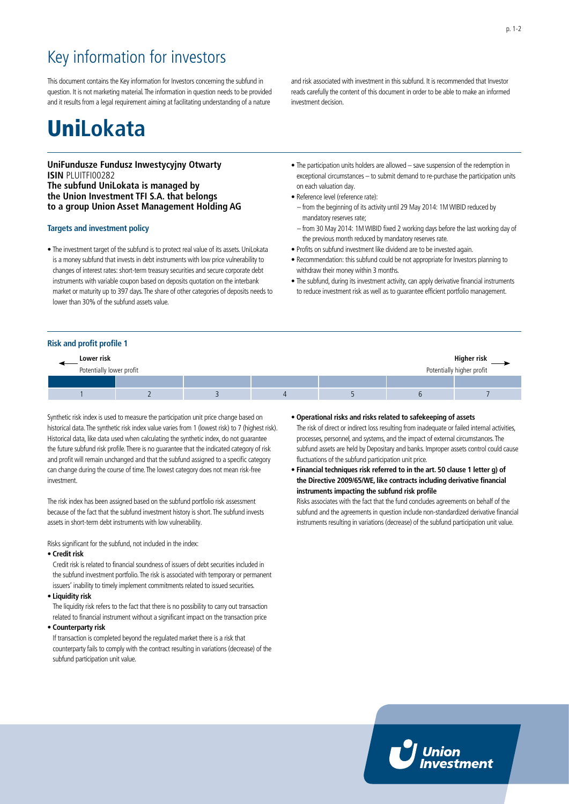### Key information for investors

This document contains the Key information for Investors concerning the subfund in question. It is not marketing material. The information in question needs to be provided and it results from a legal requirement aiming at facilitating understanding of a nature

## Uni**Lokata**

### **UniFundusze Fundusz Inwestycyjny Otwarty ISIN PLUITFI00282 The subfund UniLokata is managed by the Union Investment TFI S.A. that belongs to a group Union Asset Management Holding AG**

### **Targets and investment policy**

• The investment target of the subfund is to protect real value of its assets. UniLokata is a money subfund that invests in debt instruments with low price vulnerability to changes of interest rates: short-term treasury securities and secure corporate debt instruments with variable coupon based on deposits quotation on the interbank market or maturity up to 397 days. The share of other categories of deposits needs to lower than 30% of the subfund assets value.

and risk associated with investment in this subfund. It is recommended that Investor reads carefully the content of this document in order to be able to make an informed investment decision.

- The participation units holders are allowed save suspension of the redemption in exceptional circumstances – to submit demand to re-purchase the participation units on each valuation day.
- Reference level (reference rate):
- from the beginning of its activity until 29 May 2014: 1M WIBID reduced by mandatory reserves rate;
- from 30 May 2014: 1M WIBID fixed 2 working days before the last working day of the previous month reduced by mandatory reserves rate.
- Profits on subfund investment like dividend are to be invested again.
- Recommendation: this subfund could be not appropriate for Investors planning to withdraw their money within 3 months.
- The subfund, during its investment activity, can apply derivative financial instruments to reduce investment risk as well as to guarantee efficient portfolio management.

### **Risk and profit profile 1**

| Lower risk                                            |  |  |  |  | Higher risk |
|-------------------------------------------------------|--|--|--|--|-------------|
| Potentially lower profit<br>Potentially higher profit |  |  |  |  |             |
|                                                       |  |  |  |  |             |
|                                                       |  |  |  |  |             |

Synthetic risk index is used to measure the participation unit price change based on historical data. The synthetic risk index value varies from 1 (lowest risk) to 7 (highest risk). Historical data, like data used when calculating the synthetic index, do not guarantee the future subfund risk profile. There is no guarantee that the indicated category of risk and profit will remain unchanged and that the subfund assigned to a specific category can change during the course of time. The lowest category does not mean risk-free investment.

The risk index has been assigned based on the subfund portfolio risk assessment because of the fact that the subfund investment history is short. The subfund invests assets in short-term debt instruments with low vulnerability.

Risks significant for the subfund, not included in the index:

• **Credit risk** 

Credit risk is related to financial soundness of issuers of debt securities included in the subfund investment portfolio. The risk is associated with temporary or permanent issuers' inability to timely implement commitments related to issued securities.

• **Liquidity risk**

The liquidity risk refers to the fact that there is no possibility to carry out transaction related to financial instrument without a significant impact on the transaction price

### • **Counterparty risk**

If transaction is completed beyond the regulated market there is a risk that counterparty fails to comply with the contract resulting in variations (decrease) of the subfund participation unit value.

- **Operational risks and risks related to safekeeping of assets** The risk of direct or indirect loss resulting from inadequate or failed internal activities, processes, personnel, and systems, and the impact of external circumstances. The subfund assets are held by Depositary and banks. Improper assets control could cause fluctuations of the subfund participation unit price.
- **Financial techniques risk referred to in the art. 50 clause 1 letter g) of the Directive 2009/65/WE, like contracts including derivative financial instruments impacting the subfund risk profile**

Risks associates with the fact that the fund concludes agreements on behalf of the subfund and the agreements in question include non-standardized derivative financial instruments resulting in variations (decrease) of the subfund participation unit value.